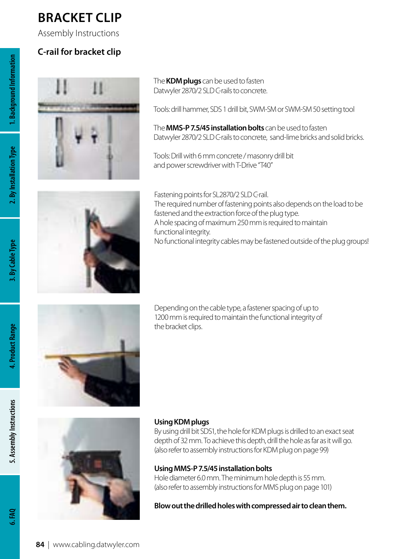## **Bracket clip**

Assembly Instructions

### **C-rail for bracket clip**



The **KDM plugs** can be used to fasten Datwyler 2870/2 SLD C-rails to concrete.

Tools: drill hammer, SDS 1 drill bit, SWM-SM or SWM-SM 50 setting tool

The **MMS-P 7.5/45 installation bolts** can be used to fasten Datwyler 2870/2 SLD C-rails to concrete, sand-lime bricks and solid bricks.

Tools: Drill with 6 mm concrete / masonry drill bit and power screwdriver with T-Drive "T40"



Fastening points for SL2870/2 SLD C-rail. The required number of fastening points also depends on the load to be fastened and the extraction force of the plug type. A hole spacing of maximum 250 mm is required to maintain functional integrity. No functional integrity cables may be fastened outside of the plug groups!



Depending on the cable type, a fastener spacing of up to 1200 mm is required to maintain the functional integrity of the bracket clips.



#### **Using KDM plugs**

By using drill bit SDS1, the hole for KDM plugs is drilled to an exact seat depth of 32 mm. To achieve this depth, drill the hole as far as it will go. (also refer to assembly instructions for KDM plug on page 99)

### **Using MMS-P 7.5/45 installation bolts**

Hole diameter 6.0 mm. The minimum hole depth is 55 mm. (also refer to assembly instructions for MMS plug on page 101)

**Blow out the drilled holes with compressed air to clean them.**

 $6.50$